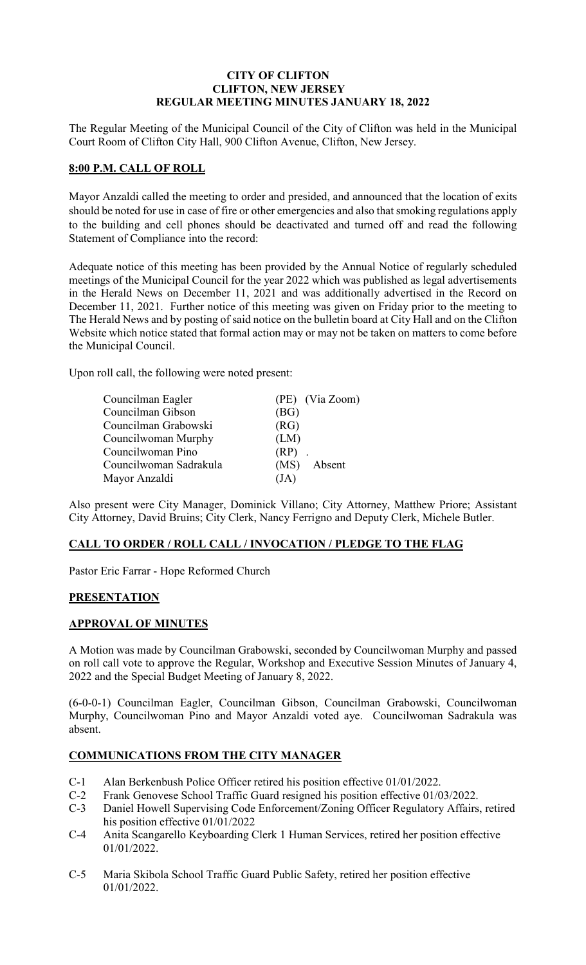## **CITY OF CLIFTON CLIFTON, NEW JERSEY REGULAR MEETING MINUTES JANUARY 18, 2022**

The Regular Meeting of the Municipal Council of the City of Clifton was held in the Municipal Court Room of Clifton City Hall, 900 Clifton Avenue, Clifton, New Jersey.

## **8:00 P.M. CALL OF ROLL**

Mayor Anzaldi called the meeting to order and presided, and announced that the location of exits should be noted for use in case of fire or other emergencies and also that smoking regulations apply to the building and cell phones should be deactivated and turned off and read the following Statement of Compliance into the record:

Adequate notice of this meeting has been provided by the Annual Notice of regularly scheduled meetings of the Municipal Council for the year 2022 which was published as legal advertisements in the Herald News on December 11, 2021 and was additionally advertised in the Record on December 11, 2021. Further notice of this meeting was given on Friday prior to the meeting to The Herald News and by posting of said notice on the bulletin board at City Hall and on the Clifton Website which notice stated that formal action may or may not be taken on matters to come before the Municipal Council.

Upon roll call, the following were noted present:

| Councilman Eagler      | (PE) (Via Zoom) |
|------------------------|-----------------|
| Councilman Gibson      | (BG)            |
| Councilman Grabowski   | (RG)            |
| Councilwoman Murphy    | (LM)            |
| Councilwoman Pino      | $(RP)$ .        |
| Councilwoman Sadrakula | (MS) Absent     |
| Mayor Anzaldi          | (JA)            |

Also present were City Manager, Dominick Villano; City Attorney, Matthew Priore; Assistant City Attorney, David Bruins; City Clerk, Nancy Ferrigno and Deputy Clerk, Michele Butler.

## **CALL TO ORDER / ROLL CALL / INVOCATION / PLEDGE TO THE FLAG**

Pastor Eric Farrar - Hope Reformed Church

# **PRESENTATION**

# **APPROVAL OF MINUTES**

A Motion was made by Councilman Grabowski, seconded by Councilwoman Murphy and passed on roll call vote to approve the Regular, Workshop and Executive Session Minutes of January 4, 2022 and the Special Budget Meeting of January 8, 2022.

(6-0-0-1) Councilman Eagler, Councilman Gibson, Councilman Grabowski, Councilwoman Murphy, Councilwoman Pino and Mayor Anzaldi voted aye. Councilwoman Sadrakula was absent.

# **COMMUNICATIONS FROM THE CITY MANAGER**

- C-1 Alan Berkenbush Police Officer retired his position effective 01/01/2022.
- C-2 Frank Genovese School Traffic Guard resigned his position effective 01/03/2022.
- C-3 Daniel Howell Supervising Code Enforcement/Zoning Officer Regulatory Affairs, retired his position effective 01/01/2022
- C-4 Anita Scangarello Keyboarding Clerk 1 Human Services, retired her position effective 01/01/2022.
- C-5 Maria Skibola School Traffic Guard Public Safety, retired her position effective 01/01/2022.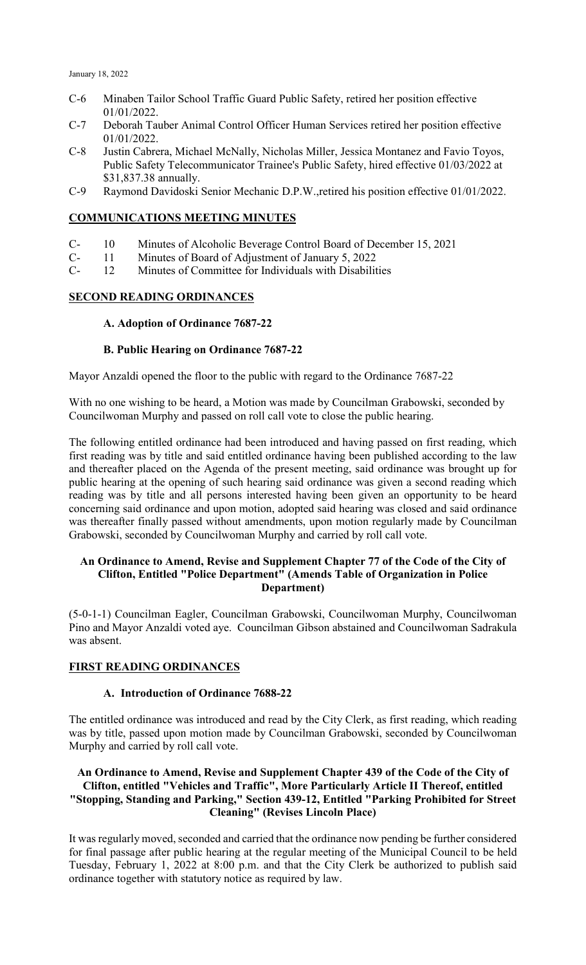- C-6 Minaben Tailor School Traffic Guard Public Safety, retired her position effective 01/01/2022.
- C-7 Deborah Tauber Animal Control Officer Human Services retired her position effective 01/01/2022.
- C-8 Justin Cabrera, Michael McNally, Nicholas Miller, Jessica Montanez and Favio Toyos, Public Safety Telecommunicator Trainee's Public Safety, hired effective 01/03/2022 at \$31,837.38 annually.
- C-9 Raymond Davidoski Senior Mechanic D.P.W.,retired his position effective 01/01/2022.

#### **COMMUNICATIONS MEETING MINUTES**

- C- 10 Minutes of Alcoholic Beverage Control Board of December 15, 2021
- C- 11 Minutes of Board of Adjustment of January 5, 2022
- C- 12 Minutes of Committee for Individuals with Disabilities

## **SECOND READING ORDINANCES**

#### **A. Adoption of Ordinance 7687-22**

#### **B. Public Hearing on Ordinance 7687-22**

Mayor Anzaldi opened the floor to the public with regard to the Ordinance 7687-22

With no one wishing to be heard, a Motion was made by Councilman Grabowski, seconded by Councilwoman Murphy and passed on roll call vote to close the public hearing.

The following entitled ordinance had been introduced and having passed on first reading, which first reading was by title and said entitled ordinance having been published according to the law and thereafter placed on the Agenda of the present meeting, said ordinance was brought up for public hearing at the opening of such hearing said ordinance was given a second reading which reading was by title and all persons interested having been given an opportunity to be heard concerning said ordinance and upon motion, adopted said hearing was closed and said ordinance was thereafter finally passed without amendments, upon motion regularly made by Councilman Grabowski, seconded by Councilwoman Murphy and carried by roll call vote.

#### **An Ordinance to Amend, Revise and Supplement Chapter 77 of the Code of the City of Clifton, Entitled "Police Department" (Amends Table of Organization in Police Department)**

(5-0-1-1) Councilman Eagler, Councilman Grabowski, Councilwoman Murphy, Councilwoman Pino and Mayor Anzaldi voted aye. Councilman Gibson abstained and Councilwoman Sadrakula was absent.

## **FIRST READING ORDINANCES**

#### **A. Introduction of Ordinance 7688-22**

The entitled ordinance was introduced and read by the City Clerk, as first reading, which reading was by title, passed upon motion made by Councilman Grabowski, seconded by Councilwoman Murphy and carried by roll call vote.

## **An Ordinance to Amend, Revise and Supplement Chapter 439 of the Code of the City of Clifton, entitled "Vehicles and Traffic", More Particularly Article II Thereof, entitled "Stopping, Standing and Parking," Section 439-12, Entitled "Parking Prohibited for Street Cleaning" (Revises Lincoln Place)**

It was regularly moved, seconded and carried that the ordinance now pending be further considered for final passage after public hearing at the regular meeting of the Municipal Council to be held Tuesday, February 1, 2022 at 8:00 p.m. and that the City Clerk be authorized to publish said ordinance together with statutory notice as required by law.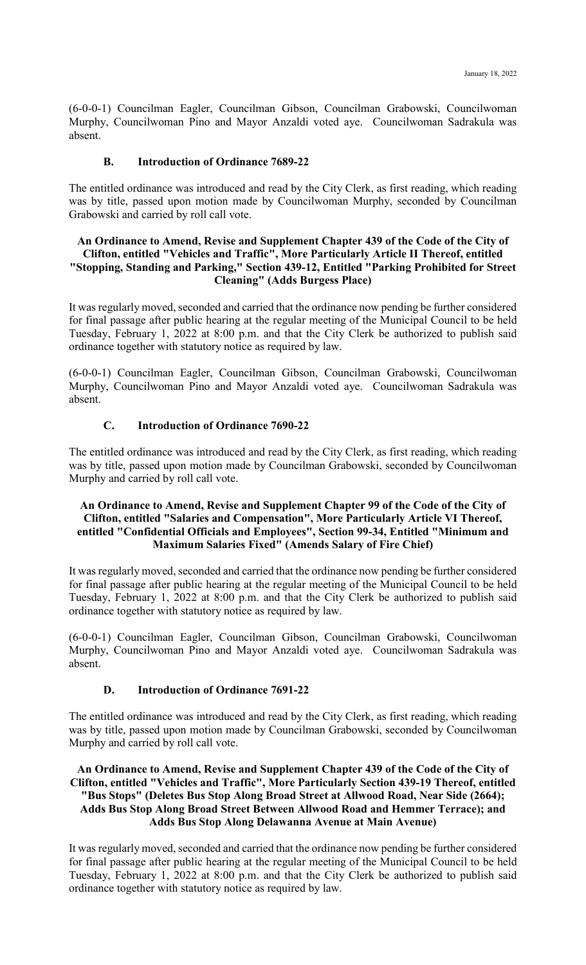(6-0-0-1) Councilman Eagler, Councilman Gibson, Councilman Grabowski, Councilwoman Murphy, Councilwoman Pino and Mayor Anzaldi voted aye. Councilwoman Sadrakula was absent.

## **B. Introduction of Ordinance 7689-22**

The entitled ordinance was introduced and read by the City Clerk, as first reading, which reading was by title, passed upon motion made by Councilwoman Murphy, seconded by Councilman Grabowski and carried by roll call vote.

#### **An Ordinance to Amend, Revise and Supplement Chapter 439 of the Code of the City of Clifton, entitled "Vehicles and Traffic", More Particularly Article II Thereof, entitled "Stopping, Standing and Parking," Section 439-12, Entitled "Parking Prohibited for Street Cleaning" (Adds Burgess Place)**

It was regularly moved, seconded and carried that the ordinance now pending be further considered for final passage after public hearing at the regular meeting of the Municipal Council to be held Tuesday, February 1, 2022 at 8:00 p.m. and that the City Clerk be authorized to publish said ordinance together with statutory notice as required by law.

(6-0-0-1) Councilman Eagler, Councilman Gibson, Councilman Grabowski, Councilwoman Murphy, Councilwoman Pino and Mayor Anzaldi voted aye. Councilwoman Sadrakula was absent.

## **C. Introduction of Ordinance 7690-22**

The entitled ordinance was introduced and read by the City Clerk, as first reading, which reading was by title, passed upon motion made by Councilman Grabowski, seconded by Councilwoman Murphy and carried by roll call vote.

## **An Ordinance to Amend, Revise and Supplement Chapter 99 of the Code of the City of Clifton, entitled "Salaries and Compensation", More Particularly Article VI Thereof, entitled "Confidential Officials and Employees", Section 99-34, Entitled "Minimum and Maximum Salaries Fixed" (Amends Salary of Fire Chief)**

It was regularly moved, seconded and carried that the ordinance now pending be further considered for final passage after public hearing at the regular meeting of the Municipal Council to be held Tuesday, February 1, 2022 at 8:00 p.m. and that the City Clerk be authorized to publish said ordinance together with statutory notice as required by law.

(6-0-0-1) Councilman Eagler, Councilman Gibson, Councilman Grabowski, Councilwoman Murphy, Councilwoman Pino and Mayor Anzaldi voted aye. Councilwoman Sadrakula was absent.

# **D. Introduction of Ordinance 7691-22**

The entitled ordinance was introduced and read by the City Clerk, as first reading, which reading was by title, passed upon motion made by Councilman Grabowski, seconded by Councilwoman Murphy and carried by roll call vote.

## **An Ordinance to Amend, Revise and Supplement Chapter 439 of the Code of the City of Clifton, entitled "Vehicles and Traffic", More Particularly Section 439-19 Thereof, entitled "Bus Stops" (Deletes Bus Stop Along Broad Street at Allwood Road, Near Side (2664); Adds Bus Stop Along Broad Street Between Allwood Road and Hemmer Terrace); and Adds Bus Stop Along Delawanna Avenue at Main Avenue)**

It was regularly moved, seconded and carried that the ordinance now pending be further considered for final passage after public hearing at the regular meeting of the Municipal Council to be held Tuesday, February 1, 2022 at 8:00 p.m. and that the City Clerk be authorized to publish said ordinance together with statutory notice as required by law.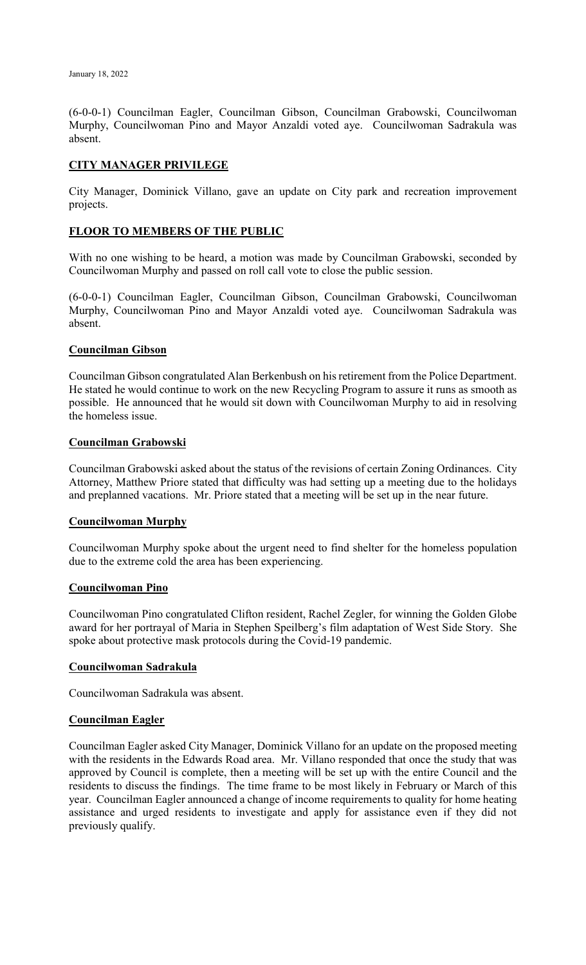(6-0-0-1) Councilman Eagler, Councilman Gibson, Councilman Grabowski, Councilwoman Murphy, Councilwoman Pino and Mayor Anzaldi voted aye. Councilwoman Sadrakula was absent.

## **CITY MANAGER PRIVILEGE**

City Manager, Dominick Villano, gave an update on City park and recreation improvement projects.

# **FLOOR TO MEMBERS OF THE PUBLIC**

With no one wishing to be heard, a motion was made by Councilman Grabowski, seconded by Councilwoman Murphy and passed on roll call vote to close the public session.

(6-0-0-1) Councilman Eagler, Councilman Gibson, Councilman Grabowski, Councilwoman Murphy, Councilwoman Pino and Mayor Anzaldi voted aye. Councilwoman Sadrakula was absent.

## **Councilman Gibson**

Councilman Gibson congratulated Alan Berkenbush on his retirement from the Police Department. He stated he would continue to work on the new Recycling Program to assure it runs as smooth as possible. He announced that he would sit down with Councilwoman Murphy to aid in resolving the homeless issue.

#### **Councilman Grabowski**

Councilman Grabowski asked about the status of the revisions of certain Zoning Ordinances. City Attorney, Matthew Priore stated that difficulty was had setting up a meeting due to the holidays and preplanned vacations. Mr. Priore stated that a meeting will be set up in the near future.

#### **Councilwoman Murphy**

Councilwoman Murphy spoke about the urgent need to find shelter for the homeless population due to the extreme cold the area has been experiencing.

## **Councilwoman Pino**

Councilwoman Pino congratulated Clifton resident, Rachel Zegler, for winning the Golden Globe award for her portrayal of Maria in Stephen Speilberg's film adaptation of West Side Story. She spoke about protective mask protocols during the Covid-19 pandemic.

## **Councilwoman Sadrakula**

Councilwoman Sadrakula was absent.

## **Councilman Eagler**

Councilman Eagler asked City Manager, Dominick Villano for an update on the proposed meeting with the residents in the Edwards Road area. Mr. Villano responded that once the study that was approved by Council is complete, then a meeting will be set up with the entire Council and the residents to discuss the findings. The time frame to be most likely in February or March of this year. Councilman Eagler announced a change of income requirements to quality for home heating assistance and urged residents to investigate and apply for assistance even if they did not previously qualify.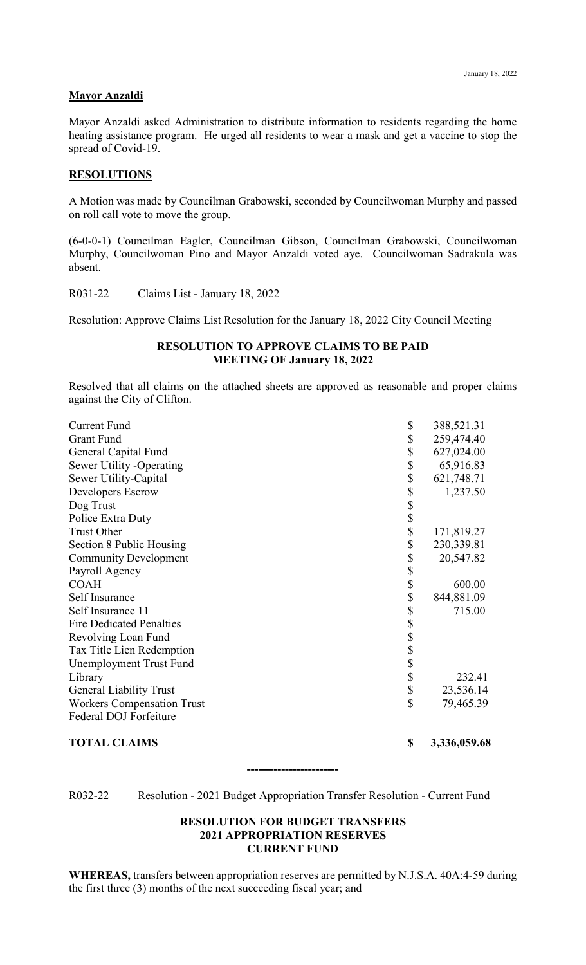#### **Mayor Anzaldi**

Mayor Anzaldi asked Administration to distribute information to residents regarding the home heating assistance program. He urged all residents to wear a mask and get a vaccine to stop the spread of Covid-19.

#### **RESOLUTIONS**

A Motion was made by Councilman Grabowski, seconded by Councilwoman Murphy and passed on roll call vote to move the group.

(6-0-0-1) Councilman Eagler, Councilman Gibson, Councilman Grabowski, Councilwoman Murphy, Councilwoman Pino and Mayor Anzaldi voted aye. Councilwoman Sadrakula was absent.

R031-22 Claims List - January 18, 2022

Resolution: Approve Claims List Resolution for the January 18, 2022 City Council Meeting

#### **RESOLUTION TO APPROVE CLAIMS TO BE PAID MEETING OF January 18, 2022**

Resolved that all claims on the attached sheets are approved as reasonable and proper claims against the City of Clifton.

| <b>Current Fund</b>               | \$                        | 388,521.31 |
|-----------------------------------|---------------------------|------------|
| <b>Grant Fund</b>                 | \$                        | 259,474.40 |
| General Capital Fund              | \$                        | 627,024.00 |
| Sewer Utility -Operating          | \$                        | 65,916.83  |
| Sewer Utility-Capital             | \$                        | 621,748.71 |
| <b>Developers Escrow</b>          | \$                        | 1,237.50   |
| Dog Trust                         | \$                        |            |
| Police Extra Duty                 | \$                        |            |
| <b>Trust Other</b>                | \$                        | 171,819.27 |
| Section 8 Public Housing          | \$                        | 230,339.81 |
| <b>Community Development</b>      | \$                        | 20,547.82  |
| Payroll Agency                    | \$                        |            |
| <b>COAH</b>                       | \$                        | 600.00     |
| Self Insurance                    | \$                        | 844,881.09 |
| Self Insurance 11                 | \$                        | 715.00     |
| <b>Fire Dedicated Penalties</b>   |                           |            |
| Revolving Loan Fund               | $\frac{1}{3}$             |            |
| Tax Title Lien Redemption         | \$                        |            |
| Unemployment Trust Fund           | \$                        |            |
| Library                           | \$                        | 232.41     |
| <b>General Liability Trust</b>    | \$                        | 23,536.14  |
| <b>Workers Compensation Trust</b> | $\boldsymbol{\mathsf{S}}$ | 79,465.39  |
| Federal DOJ Forfeiture            |                           |            |
|                                   |                           |            |

**TOTAL CLAIMS \$ 3,336,059.68**

**------------------------**

R032-22 Resolution - 2021 Budget Appropriation Transfer Resolution - Current Fund

#### **RESOLUTION FOR BUDGET TRANSFERS 2021 APPROPRIATION RESERVES CURRENT FUND**

**WHEREAS,** transfers between appropriation reserves are permitted by N.J.S.A. 40A:4-59 during the first three (3) months of the next succeeding fiscal year; and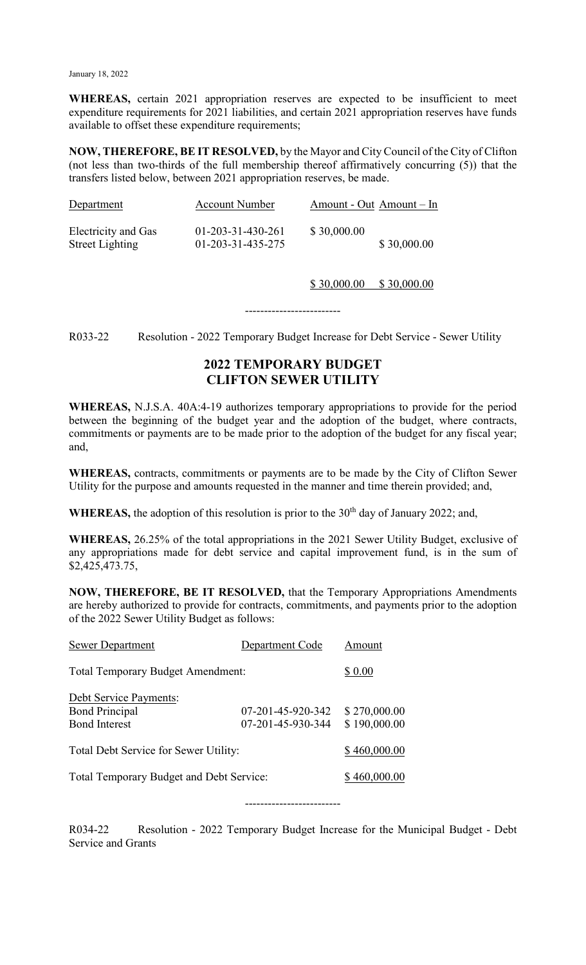January 18, 2022

**WHEREAS,** certain 2021 appropriation reserves are expected to be insufficient to meet expenditure requirements for 2021 liabilities, and certain 2021 appropriation reserves have funds available to offset these expenditure requirements;

**NOW, THEREFORE, BE IT RESOLVED,** by the Mayor and City Council of the City of Clifton (not less than two-thirds of the full membership thereof affirmatively concurring (5)) that the transfers listed below, between 2021 appropriation reserves, be made.

| Department                                    | <b>Account Number</b>                    | Amount - Out Amount - In |             |
|-----------------------------------------------|------------------------------------------|--------------------------|-------------|
| Electricity and Gas<br><b>Street Lighting</b> | $01-203-31-430-261$<br>01-203-31-435-275 | \$30,000.00              | \$30,000.00 |

\$ 30,000.00 \$ 30,000.00

R033-22 Resolution - 2022 Temporary Budget Increase for Debt Service - Sewer Utility

-------------------------

# **2022 TEMPORARY BUDGET CLIFTON SEWER UTILITY**

**WHEREAS,** N.J.S.A. 40A:4-19 authorizes temporary appropriations to provide for the period between the beginning of the budget year and the adoption of the budget, where contracts, commitments or payments are to be made prior to the adoption of the budget for any fiscal year; and,

**WHEREAS,** contracts, commitments or payments are to be made by the City of Clifton Sewer Utility for the purpose and amounts requested in the manner and time therein provided; and,

**WHEREAS,** the adoption of this resolution is prior to the  $30<sup>th</sup>$  day of January 2022; and,

**WHEREAS,** 26.25% of the total appropriations in the 2021 Sewer Utility Budget, exclusive of any appropriations made for debt service and capital improvement fund, is in the sum of \$2,425,473.75,

**NOW, THEREFORE, BE IT RESOLVED,** that the Temporary Appropriations Amendments are hereby authorized to provide for contracts, commitments, and payments prior to the adoption of the 2022 Sewer Utility Budget as follows:

| <b>Sewer Department</b>                  | Department Code   | Amount       |
|------------------------------------------|-------------------|--------------|
| <b>Total Temporary Budget Amendment:</b> | \$ 0.00           |              |
| <b>Debt Service Payments:</b>            |                   |              |
| <b>Bond Principal</b>                    | 07-201-45-920-342 | \$270,000.00 |
| <b>Bond Interest</b>                     | 07-201-45-930-344 | \$190,000.00 |
| Total Debt Service for Sewer Utility:    | \$460,000.00      |              |
| Total Temporary Budget and Debt Service: | \$460,000.00      |              |
|                                          |                   |              |

R034-22 Resolution - 2022 Temporary Budget Increase for the Municipal Budget - Debt Service and Grants

-------------------------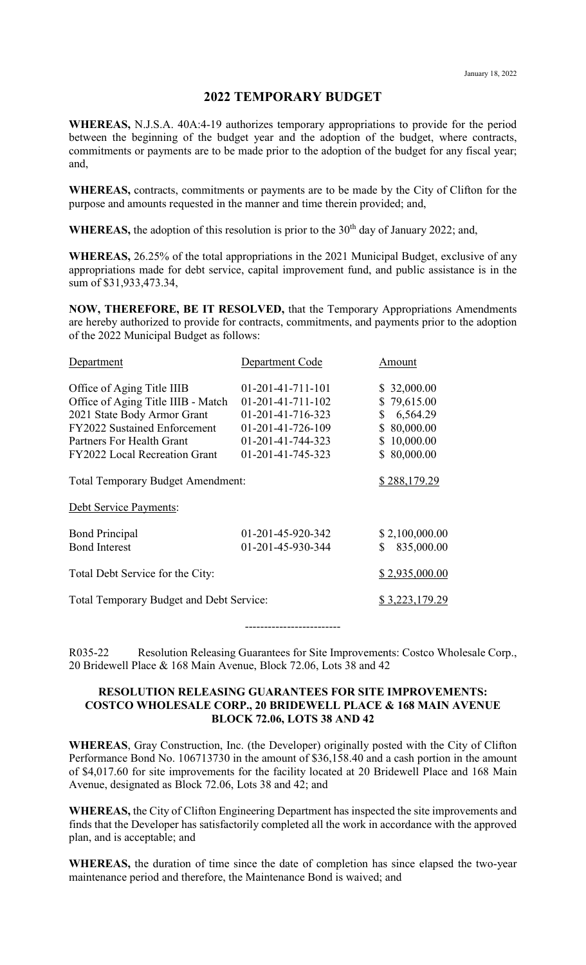## **2022 TEMPORARY BUDGET**

**WHEREAS,** N.J.S.A. 40A:4-19 authorizes temporary appropriations to provide for the period between the beginning of the budget year and the adoption of the budget, where contracts, commitments or payments are to be made prior to the adoption of the budget for any fiscal year; and,

**WHEREAS,** contracts, commitments or payments are to be made by the City of Clifton for the purpose and amounts requested in the manner and time therein provided; and,

**WHEREAS,** the adoption of this resolution is prior to the  $30<sup>th</sup>$  day of January 2022; and,

**WHEREAS,** 26.25% of the total appropriations in the 2021 Municipal Budget, exclusive of any appropriations made for debt service, capital improvement fund, and public assistance is in the sum of \$31,933,473.34,

**NOW, THEREFORE, BE IT RESOLVED,** that the Temporary Appropriations Amendments are hereby authorized to provide for contracts, commitments, and payments prior to the adoption of the 2022 Municipal Budget as follows:

| Department                               | Department Code     | Amount          |
|------------------------------------------|---------------------|-----------------|
| Office of Aging Title IIIB               | $01-201-41-711-101$ | \$32,000.00     |
| Office of Aging Title IIIB - Match       | $01-201-41-711-102$ | \$79,615.00     |
| 2021 State Body Armor Grant              | 01-201-41-716-323   | 6,564.29<br>S   |
| <b>FY2022 Sustained Enforcement</b>      | 01-201-41-726-109   | 80,000.00<br>S. |
| Partners For Health Grant                | 01-201-41-744-323   | 10,000.00<br>S  |
| <b>FY2022 Local Recreation Grant</b>     | 01-201-41-745-323   | 80,000.00<br>S. |
| <b>Total Temporary Budget Amendment:</b> | \$288,179.29        |                 |
| Debt Service Payments:                   |                     |                 |
| <b>Bond Principal</b>                    | 01-201-45-920-342   | \$2,100,000.00  |
| <b>Bond Interest</b>                     | 01-201-45-930-344   | 835,000.00<br>S |
| Total Debt Service for the City:         |                     | \$2,935,000.00  |
| Total Temporary Budget and Debt Service: | \$3,223,179.29      |                 |

-------------------------

R035-22 Resolution Releasing Guarantees for Site Improvements: Costco Wholesale Corp., 20 Bridewell Place & 168 Main Avenue, Block 72.06, Lots 38 and 42

#### **RESOLUTION RELEASING GUARANTEES FOR SITE IMPROVEMENTS: COSTCO WHOLESALE CORP., 20 BRIDEWELL PLACE & 168 MAIN AVENUE BLOCK 72.06, LOTS 38 AND 42**

**WHEREAS**, Gray Construction, Inc. (the Developer) originally posted with the City of Clifton Performance Bond No. 106713730 in the amount of \$36,158.40 and a cash portion in the amount of \$4,017.60 for site improvements for the facility located at 20 Bridewell Place and 168 Main Avenue, designated as Block 72.06, Lots 38 and 42; and

**WHEREAS,** the City of Clifton Engineering Department has inspected the site improvements and finds that the Developer has satisfactorily completed all the work in accordance with the approved plan, and is acceptable; and

**WHEREAS,** the duration of time since the date of completion has since elapsed the two-year maintenance period and therefore, the Maintenance Bond is waived; and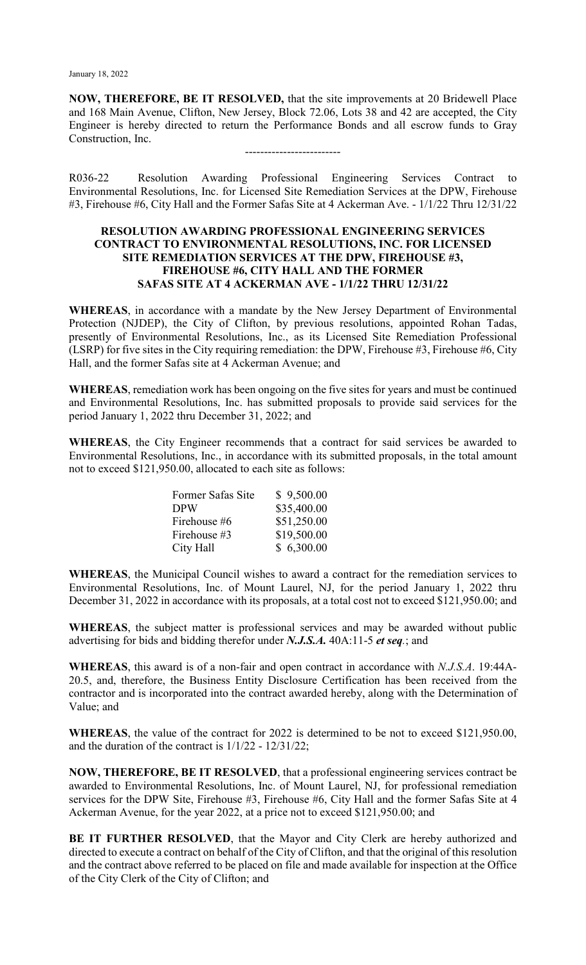**NOW, THEREFORE, BE IT RESOLVED,** that the site improvements at 20 Bridewell Place and 168 Main Avenue, Clifton, New Jersey, Block 72.06, Lots 38 and 42 are accepted, the City Engineer is hereby directed to return the Performance Bonds and all escrow funds to Gray Construction, Inc.

-------------------------

R036-22 Resolution Awarding Professional Engineering Services Contract to Environmental Resolutions, Inc. for Licensed Site Remediation Services at the DPW, Firehouse #3, Firehouse #6, City Hall and the Former Safas Site at 4 Ackerman Ave. - 1/1/22 Thru 12/31/22

#### **RESOLUTION AWARDING PROFESSIONAL ENGINEERING SERVICES CONTRACT TO ENVIRONMENTAL RESOLUTIONS, INC. FOR LICENSED SITE REMEDIATION SERVICES AT THE DPW, FIREHOUSE #3, FIREHOUSE #6, CITY HALL AND THE FORMER SAFAS SITE AT 4 ACKERMAN AVE - 1/1/22 THRU 12/31/22**

**WHEREAS**, in accordance with a mandate by the New Jersey Department of Environmental Protection (NJDEP), the City of Clifton, by previous resolutions, appointed Rohan Tadas, presently of Environmental Resolutions, Inc., as its Licensed Site Remediation Professional (LSRP) for five sites in the City requiring remediation: the DPW, Firehouse #3, Firehouse #6, City Hall, and the former Safas site at 4 Ackerman Avenue; and

**WHEREAS**, remediation work has been ongoing on the five sites for years and must be continued and Environmental Resolutions, Inc. has submitted proposals to provide said services for the period January 1, 2022 thru December 31, 2022; and

**WHEREAS**, the City Engineer recommends that a contract for said services be awarded to Environmental Resolutions, Inc., in accordance with its submitted proposals, in the total amount not to exceed \$121,950.00, allocated to each site as follows:

| Former Safas Site | \$9,500.00  |
|-------------------|-------------|
| <b>DPW</b>        | \$35,400.00 |
| Firehouse #6      | \$51,250.00 |
| Firehouse #3      | \$19,500.00 |
| City Hall         | \$6,300.00  |

**WHEREAS**, the Municipal Council wishes to award a contract for the remediation services to Environmental Resolutions, Inc. of Mount Laurel, NJ, for the period January 1, 2022 thru December 31, 2022 in accordance with its proposals, at a total cost not to exceed \$121,950.00; and

**WHEREAS**, the subject matter is professional services and may be awarded without public advertising for bids and bidding therefor under *N.J.S.A.* 40A:11-5 *et seq.*; and

**WHEREAS**, this award is of a non-fair and open contract in accordance with *N.J.S.A*. 19:44A-20.5, and, therefore, the Business Entity Disclosure Certification has been received from the contractor and is incorporated into the contract awarded hereby, along with the Determination of Value; and

**WHEREAS**, the value of the contract for 2022 is determined to be not to exceed \$121,950.00, and the duration of the contract is 1/1/22 - 12/31/22;

**NOW, THEREFORE, BE IT RESOLVED**, that a professional engineering services contract be awarded to Environmental Resolutions, Inc. of Mount Laurel, NJ, for professional remediation services for the DPW Site, Firehouse #3, Firehouse #6, City Hall and the former Safas Site at 4 Ackerman Avenue, for the year 2022, at a price not to exceed \$121,950.00; and

**BE IT FURTHER RESOLVED**, that the Mayor and City Clerk are hereby authorized and directed to execute a contract on behalf of the City of Clifton, and that the original of this resolution and the contract above referred to be placed on file and made available for inspection at the Office of the City Clerk of the City of Clifton; and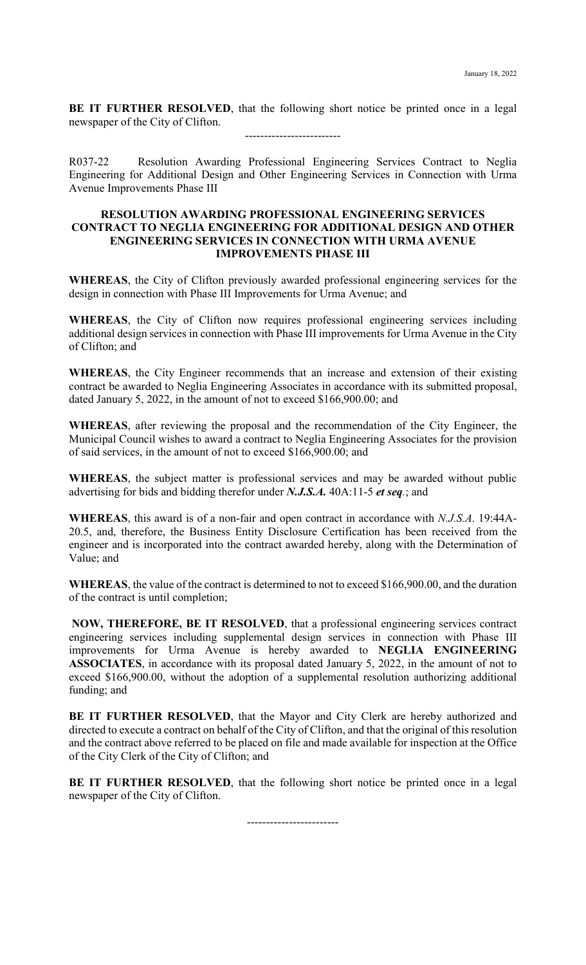**BE IT FURTHER RESOLVED**, that the following short notice be printed once in a legal newspaper of the City of Clifton.

-------------------------

R037-22 Resolution Awarding Professional Engineering Services Contract to Neglia Engineering for Additional Design and Other Engineering Services in Connection with Urma Avenue Improvements Phase III

#### **RESOLUTION AWARDING PROFESSIONAL ENGINEERING SERVICES CONTRACT TO NEGLIA ENGINEERING FOR ADDITIONAL DESIGN AND OTHER ENGINEERING SERVICES IN CONNECTION WITH URMA AVENUE IMPROVEMENTS PHASE III**

**WHEREAS**, the City of Clifton previously awarded professional engineering services for the design in connection with Phase III Improvements for Urma Avenue; and

**WHEREAS**, the City of Clifton now requires professional engineering services including additional design services in connection with Phase III improvements for Urma Avenue in the City of Clifton; and

**WHEREAS**, the City Engineer recommends that an increase and extension of their existing contract be awarded to Neglia Engineering Associates in accordance with its submitted proposal, dated January 5, 2022, in the amount of not to exceed \$166,900.00; and

**WHEREAS**, after reviewing the proposal and the recommendation of the City Engineer, the Municipal Council wishes to award a contract to Neglia Engineering Associates for the provision of said services, in the amount of not to exceed \$166,900.00; and

**WHEREAS**, the subject matter is professional services and may be awarded without public advertising for bids and bidding therefor under *N.J.S.A.* 40A:11-5 *et seq.*; and

**WHEREAS**, this award is of a non-fair and open contract in accordance with *N.J.S.A*. 19:44A-20.5, and, therefore, the Business Entity Disclosure Certification has been received from the engineer and is incorporated into the contract awarded hereby, along with the Determination of Value; and

**WHEREAS**, the value of the contract is determined to not to exceed \$166,900.00, and the duration of the contract is until completion;

**NOW, THEREFORE, BE IT RESOLVED**, that a professional engineering services contract engineering services including supplemental design services in connection with Phase III improvements for Urma Avenue is hereby awarded to **NEGLIA ENGINEERING ASSOCIATES**, in accordance with its proposal dated January 5, 2022, in the amount of not to exceed \$166,900.00, without the adoption of a supplemental resolution authorizing additional funding; and

**BE IT FURTHER RESOLVED**, that the Mayor and City Clerk are hereby authorized and directed to execute a contract on behalf of the City of Clifton, and that the original of this resolution and the contract above referred to be placed on file and made available for inspection at the Office of the City Clerk of the City of Clifton; and

**BE IT FURTHER RESOLVED**, that the following short notice be printed once in a legal newspaper of the City of Clifton.

------------------------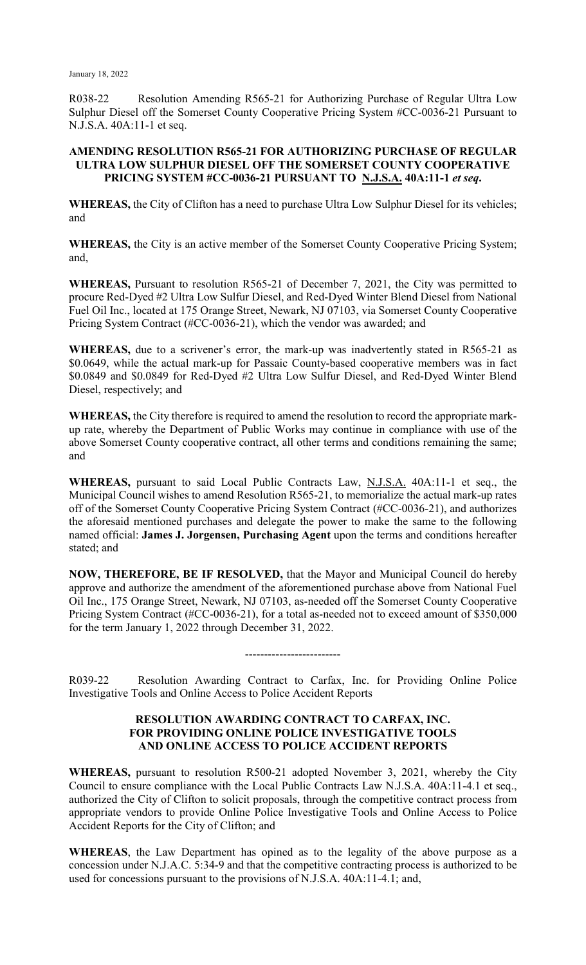R038-22 Resolution Amending R565-21 for Authorizing Purchase of Regular Ultra Low Sulphur Diesel off the Somerset County Cooperative Pricing System #CC-0036-21 Pursuant to N.J.S.A. 40A:11-1 et seq.

## **AMENDING RESOLUTION R565-21 FOR AUTHORIZING PURCHASE OF REGULAR ULTRA LOW SULPHUR DIESEL OFF THE SOMERSET COUNTY COOPERATIVE PRICING SYSTEM #CC-0036-21 PURSUANT TO N.J.S.A. 40A:11-1** *et seq***.**

**WHEREAS,** the City of Clifton has a need to purchase Ultra Low Sulphur Diesel for its vehicles; and

**WHEREAS,** the City is an active member of the Somerset County Cooperative Pricing System; and,

**WHEREAS,** Pursuant to resolution R565-21 of December 7, 2021, the City was permitted to procure Red-Dyed #2 Ultra Low Sulfur Diesel, and Red-Dyed Winter Blend Diesel from National Fuel Oil Inc., located at 175 Orange Street, Newark, NJ 07103, via Somerset County Cooperative Pricing System Contract (#CC-0036-21), which the vendor was awarded; and

**WHEREAS,** due to a scrivener's error, the mark-up was inadvertently stated in R565-21 as \$0.0649, while the actual mark-up for Passaic County-based cooperative members was in fact \$0.0849 and \$0.0849 for Red-Dyed #2 Ultra Low Sulfur Diesel, and Red-Dyed Winter Blend Diesel, respectively; and

**WHEREAS,** the City therefore is required to amend the resolution to record the appropriate markup rate, whereby the Department of Public Works may continue in compliance with use of the above Somerset County cooperative contract, all other terms and conditions remaining the same; and

**WHEREAS,** pursuant to said Local Public Contracts Law, N.J.S.A. 40A:11-1 et seq., the Municipal Council wishes to amend Resolution R565-21, to memorialize the actual mark-up rates off of the Somerset County Cooperative Pricing System Contract (#CC-0036-21), and authorizes the aforesaid mentioned purchases and delegate the power to make the same to the following named official: **James J. Jorgensen, Purchasing Agent** upon the terms and conditions hereafter stated; and

**NOW, THEREFORE, BE IF RESOLVED,** that the Mayor and Municipal Council do hereby approve and authorize the amendment of the aforementioned purchase above from National Fuel Oil Inc., 175 Orange Street, Newark, NJ 07103, as-needed off the Somerset County Cooperative Pricing System Contract (#CC-0036-21), for a total as-needed not to exceed amount of \$350,000 for the term January 1, 2022 through December 31, 2022.

R039-22 Resolution Awarding Contract to Carfax, Inc. for Providing Online Police Investigative Tools and Online Access to Police Accident Reports

-------------------------

#### **RESOLUTION AWARDING CONTRACT TO CARFAX, INC. FOR PROVIDING ONLINE POLICE INVESTIGATIVE TOOLS AND ONLINE ACCESS TO POLICE ACCIDENT REPORTS**

**WHEREAS,** pursuant to resolution R500-21 adopted November 3, 2021, whereby the City Council to ensure compliance with the Local Public Contracts Law N.J.S.A. 40A:11-4.1 et seq., authorized the City of Clifton to solicit proposals, through the competitive contract process from appropriate vendors to provide Online Police Investigative Tools and Online Access to Police Accident Reports for the City of Clifton; and

**WHEREAS**, the Law Department has opined as to the legality of the above purpose as a concession under N.J.A.C. 5:34-9 and that the competitive contracting process is authorized to be used for concessions pursuant to the provisions of N.J.S.A. 40A:11-4.1; and,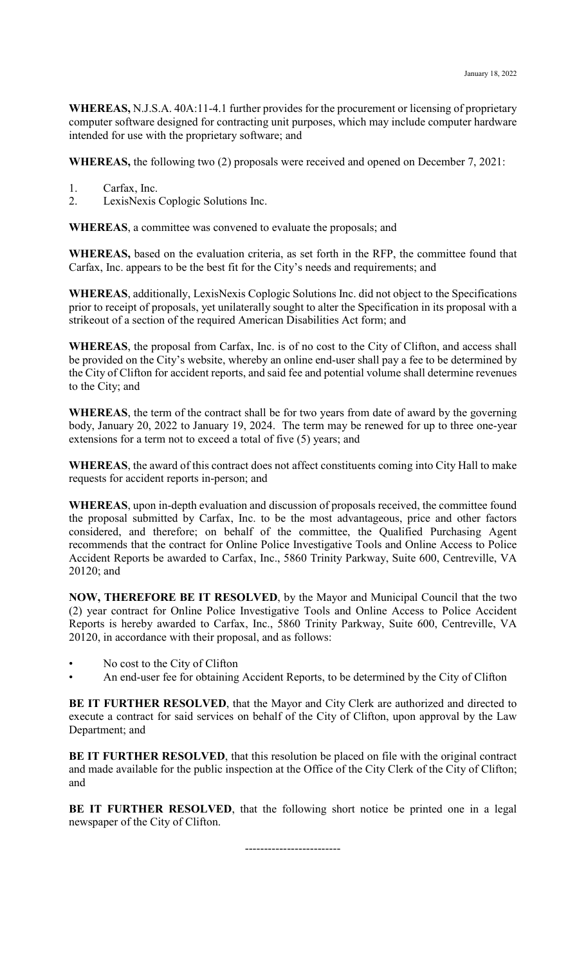**WHEREAS,** N.J.S.A. 40A:11-4.1 further provides for the procurement or licensing of proprietary computer software designed for contracting unit purposes, which may include computer hardware intended for use with the proprietary software; and

**WHEREAS,** the following two (2) proposals were received and opened on December 7, 2021:

- 1. Carfax, Inc.
- 2. LexisNexis Coplogic Solutions Inc.

**WHEREAS**, a committee was convened to evaluate the proposals; and

**WHEREAS,** based on the evaluation criteria, as set forth in the RFP, the committee found that Carfax, Inc. appears to be the best fit for the City's needs and requirements; and

**WHEREAS**, additionally, LexisNexis Coplogic Solutions Inc. did not object to the Specifications prior to receipt of proposals, yet unilaterally sought to alter the Specification in its proposal with a strikeout of a section of the required American Disabilities Act form; and

**WHEREAS**, the proposal from Carfax, Inc. is of no cost to the City of Clifton, and access shall be provided on the City's website, whereby an online end-user shall pay a fee to be determined by the City of Clifton for accident reports, and said fee and potential volume shall determine revenues to the City; and

**WHEREAS**, the term of the contract shall be for two years from date of award by the governing body, January 20, 2022 to January 19, 2024. The term may be renewed for up to three one-year extensions for a term not to exceed a total of five (5) years; and

**WHEREAS**, the award of this contract does not affect constituents coming into City Hall to make requests for accident reports in-person; and

**WHEREAS**, upon in-depth evaluation and discussion of proposals received, the committee found the proposal submitted by Carfax, Inc. to be the most advantageous, price and other factors considered, and therefore; on behalf of the committee, the Qualified Purchasing Agent recommends that the contract for Online Police Investigative Tools and Online Access to Police Accident Reports be awarded to Carfax, Inc., 5860 Trinity Parkway, Suite 600, Centreville, VA 20120; and

**NOW, THEREFORE BE IT RESOLVED**, by the Mayor and Municipal Council that the two (2) year contract for Online Police Investigative Tools and Online Access to Police Accident Reports is hereby awarded to Carfax, Inc., 5860 Trinity Parkway, Suite 600, Centreville, VA 20120, in accordance with their proposal, and as follows:

- No cost to the City of Clifton
- An end-user fee for obtaining Accident Reports, to be determined by the City of Clifton

**BE IT FURTHER RESOLVED**, that the Mayor and City Clerk are authorized and directed to execute a contract for said services on behalf of the City of Clifton, upon approval by the Law Department; and

**BE IT FURTHER RESOLVED**, that this resolution be placed on file with the original contract and made available for the public inspection at the Office of the City Clerk of the City of Clifton; and

**BE IT FURTHER RESOLVED**, that the following short notice be printed one in a legal newspaper of the City of Clifton.

-------------------------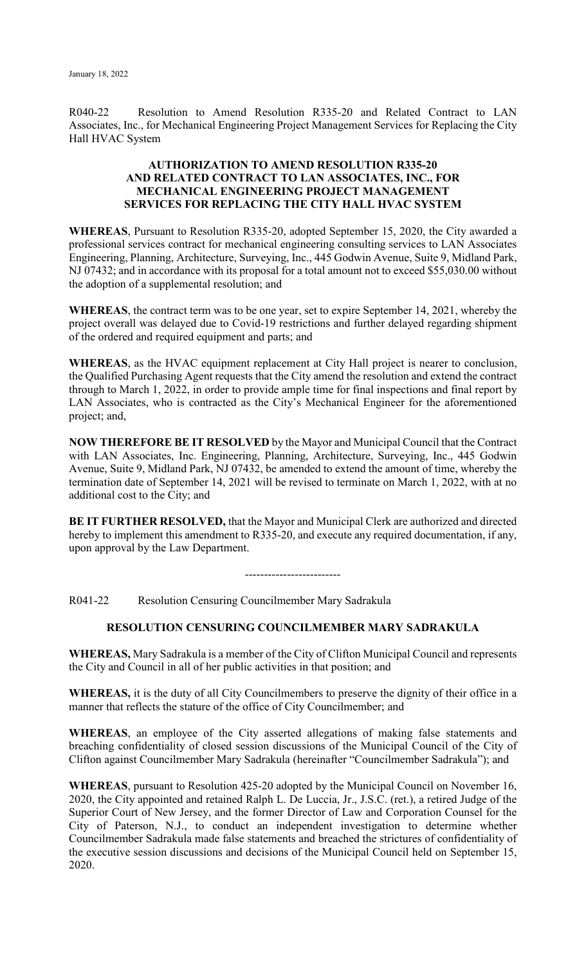R040-22 Resolution to Amend Resolution R335-20 and Related Contract to LAN Associates, Inc., for Mechanical Engineering Project Management Services for Replacing the City Hall HVAC System

## **AUTHORIZATION TO AMEND RESOLUTION R335-20 AND RELATED CONTRACT TO LAN ASSOCIATES, INC., FOR MECHANICAL ENGINEERING PROJECT MANAGEMENT SERVICES FOR REPLACING THE CITY HALL HVAC SYSTEM**

**WHEREAS**, Pursuant to Resolution R335-20, adopted September 15, 2020, the City awarded a professional services contract for mechanical engineering consulting services to LAN Associates Engineering, Planning, Architecture, Surveying, Inc., 445 Godwin Avenue, Suite 9, Midland Park, NJ 07432; and in accordance with its proposal for a total amount not to exceed \$55,030.00 without the adoption of a supplemental resolution; and

**WHEREAS**, the contract term was to be one year, set to expire September 14, 2021, whereby the project overall was delayed due to Covid-19 restrictions and further delayed regarding shipment of the ordered and required equipment and parts; and

**WHEREAS**, as the HVAC equipment replacement at City Hall project is nearer to conclusion, the Qualified Purchasing Agent requests that the City amend the resolution and extend the contract through to March 1, 2022, in order to provide ample time for final inspections and final report by LAN Associates, who is contracted as the City's Mechanical Engineer for the aforementioned project; and,

**NOW THEREFORE BE IT RESOLVED** by the Mayor and Municipal Council that the Contract with LAN Associates, Inc. Engineering, Planning, Architecture, Surveying, Inc., 445 Godwin Avenue, Suite 9, Midland Park, NJ 07432, be amended to extend the amount of time, whereby the termination date of September 14, 2021 will be revised to terminate on March 1, 2022, with at no additional cost to the City; and

**BE IT FURTHER RESOLVED,** that the Mayor and Municipal Clerk are authorized and directed hereby to implement this amendment to R335-20, and execute any required documentation, if any, upon approval by the Law Department.

 $-$ 

R041-22 Resolution Censuring Councilmember Mary Sadrakula

# **RESOLUTION CENSURING COUNCILMEMBER MARY SADRAKULA**

**WHEREAS,** Mary Sadrakula is a member of the City of Clifton Municipal Council and represents the City and Council in all of her public activities in that position; and

**WHEREAS,** it is the duty of all City Councilmembers to preserve the dignity of their office in a manner that reflects the stature of the office of City Councilmember; and

**WHEREAS**, an employee of the City asserted allegations of making false statements and breaching confidentiality of closed session discussions of the Municipal Council of the City of Clifton against Councilmember Mary Sadrakula (hereinafter "Councilmember Sadrakula"); and

**WHEREAS**, pursuant to Resolution 425-20 adopted by the Municipal Council on November 16, 2020, the City appointed and retained Ralph L. De Luccia, Jr., J.S.C. (ret.), a retired Judge of the Superior Court of New Jersey, and the former Director of Law and Corporation Counsel for the City of Paterson, N.J., to conduct an independent investigation to determine whether Councilmember Sadrakula made false statements and breached the strictures of confidentiality of the executive session discussions and decisions of the Municipal Council held on September 15, 2020.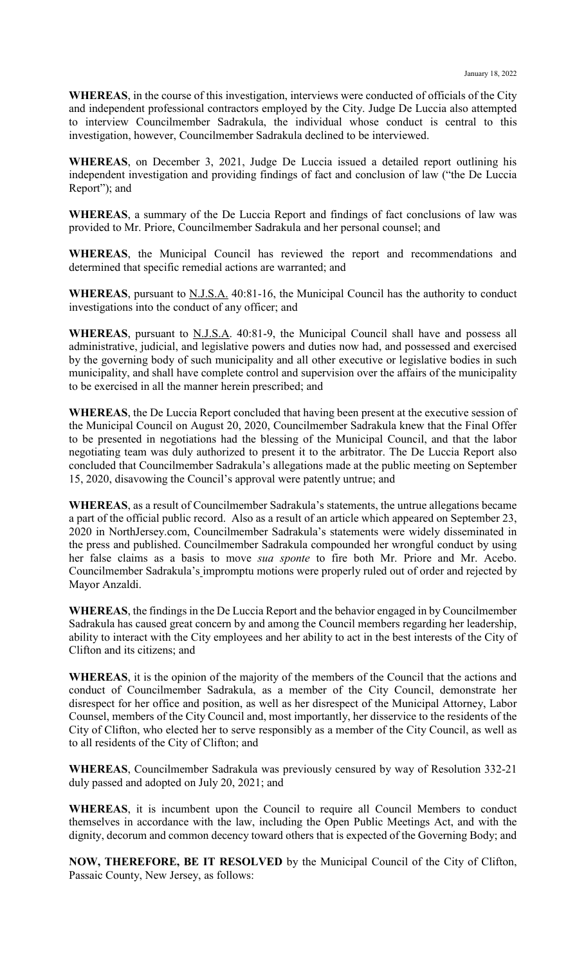**WHEREAS**, in the course of this investigation, interviews were conducted of officials of the City and independent professional contractors employed by the City. Judge De Luccia also attempted to interview Councilmember Sadrakula, the individual whose conduct is central to this investigation, however, Councilmember Sadrakula declined to be interviewed.

**WHEREAS**, on December 3, 2021, Judge De Luccia issued a detailed report outlining his independent investigation and providing findings of fact and conclusion of law ("the De Luccia Report"); and

**WHEREAS**, a summary of the De Luccia Report and findings of fact conclusions of law was provided to Mr. Priore, Councilmember Sadrakula and her personal counsel; and

**WHEREAS**, the Municipal Council has reviewed the report and recommendations and determined that specific remedial actions are warranted; and

**WHEREAS**, pursuant to N.J.S.A. 40:81-16, the Municipal Council has the authority to conduct investigations into the conduct of any officer; and

WHEREAS, pursuant to N.J.S.A. 40:81-9, the Municipal Council shall have and possess all administrative, judicial, and legislative powers and duties now had, and possessed and exercised by the governing body of such municipality and all other executive or legislative bodies in such municipality, and shall have complete control and supervision over the affairs of the municipality to be exercised in all the manner herein prescribed; and

**WHEREAS**, the De Luccia Report concluded that having been present at the executive session of the Municipal Council on August 20, 2020, Councilmember Sadrakula knew that the Final Offer to be presented in negotiations had the blessing of the Municipal Council, and that the labor negotiating team was duly authorized to present it to the arbitrator. The De Luccia Report also concluded that Councilmember Sadrakula's allegations made at the public meeting on September 15, 2020, disavowing the Council's approval were patently untrue; and

**WHEREAS**, as a result of Councilmember Sadrakula's statements, the untrue allegations became a part of the official public record. Also as a result of an article which appeared on September 23, 2020 in NorthJersey.com, Councilmember Sadrakula's statements were widely disseminated in the press and published. Councilmember Sadrakula compounded her wrongful conduct by using her false claims as a basis to move *sua sponte* to fire both Mr. Priore and Mr. Acebo. Councilmember Sadrakula's impromptu motions were properly ruled out of order and rejected by Mayor Anzaldi.

**WHEREAS**, the findings in the De Luccia Report and the behavior engaged in by Councilmember Sadrakula has caused great concern by and among the Council members regarding her leadership, ability to interact with the City employees and her ability to act in the best interests of the City of Clifton and its citizens; and

**WHEREAS**, it is the opinion of the majority of the members of the Council that the actions and conduct of Councilmember Sadrakula, as a member of the City Council, demonstrate her disrespect for her office and position, as well as her disrespect of the Municipal Attorney, Labor Counsel, members of the City Council and, most importantly, her disservice to the residents of the City of Clifton, who elected her to serve responsibly as a member of the City Council, as well as to all residents of the City of Clifton; and

**WHEREAS**, Councilmember Sadrakula was previously censured by way of Resolution 332-21 duly passed and adopted on July 20, 2021; and

**WHEREAS**, it is incumbent upon the Council to require all Council Members to conduct themselves in accordance with the law, including the Open Public Meetings Act, and with the dignity, decorum and common decency toward others that is expected of the Governing Body; and

**NOW, THEREFORE, BE IT RESOLVED** by the Municipal Council of the City of Clifton, Passaic County, New Jersey, as follows: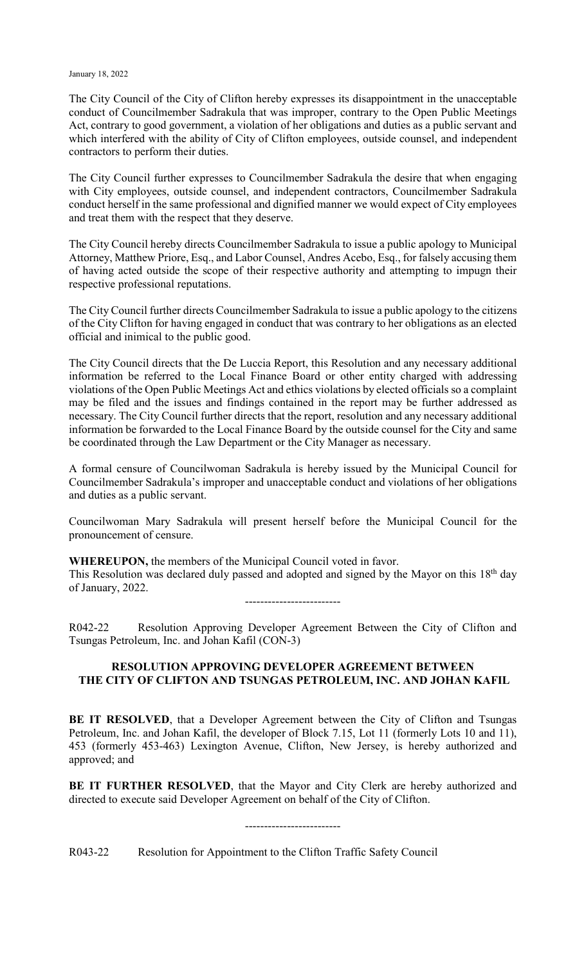#### January 18, 2022

The City Council of the City of Clifton hereby expresses its disappointment in the unacceptable conduct of Councilmember Sadrakula that was improper, contrary to the Open Public Meetings Act, contrary to good government, a violation of her obligations and duties as a public servant and which interfered with the ability of City of Clifton employees, outside counsel, and independent contractors to perform their duties.

The City Council further expresses to Councilmember Sadrakula the desire that when engaging with City employees, outside counsel, and independent contractors, Councilmember Sadrakula conduct herself in the same professional and dignified manner we would expect of City employees and treat them with the respect that they deserve.

The City Council hereby directs Councilmember Sadrakula to issue a public apology to Municipal Attorney, Matthew Priore, Esq., and Labor Counsel, Andres Acebo, Esq., for falsely accusing them of having acted outside the scope of their respective authority and attempting to impugn their respective professional reputations.

The City Council further directs Councilmember Sadrakula to issue a public apology to the citizens of the City Clifton for having engaged in conduct that was contrary to her obligations as an elected official and inimical to the public good.

The City Council directs that the De Luccia Report, this Resolution and any necessary additional information be referred to the Local Finance Board or other entity charged with addressing violations of the Open Public Meetings Act and ethics violations by elected officials so a complaint may be filed and the issues and findings contained in the report may be further addressed as necessary. The City Council further directs that the report, resolution and any necessary additional information be forwarded to the Local Finance Board by the outside counsel for the City and same be coordinated through the Law Department or the City Manager as necessary.

A formal censure of Councilwoman Sadrakula is hereby issued by the Municipal Council for Councilmember Sadrakula's improper and unacceptable conduct and violations of her obligations and duties as a public servant.

Councilwoman Mary Sadrakula will present herself before the Municipal Council for the pronouncement of censure.

**WHEREUPON,** the members of the Municipal Council voted in favor. This Resolution was declared duly passed and adopted and signed by the Mayor on this 18<sup>th</sup> day of January, 2022. -------------------------

R042-22 Resolution Approving Developer Agreement Between the City of Clifton and Tsungas Petroleum, Inc. and Johan Kafil (CON-3)

## **RESOLUTION APPROVING DEVELOPER AGREEMENT BETWEEN THE CITY OF CLIFTON AND TSUNGAS PETROLEUM, INC. AND JOHAN KAFIL**

**BE IT RESOLVED**, that a Developer Agreement between the City of Clifton and Tsungas Petroleum, Inc. and Johan Kafil, the developer of Block 7.15, Lot 11 (formerly Lots 10 and 11), 453 (formerly 453-463) Lexington Avenue, Clifton, New Jersey, is hereby authorized and approved; and

**BE IT FURTHER RESOLVED**, that the Mayor and City Clerk are hereby authorized and directed to execute said Developer Agreement on behalf of the City of Clifton.

-------------------------

R043-22 Resolution for Appointment to the Clifton Traffic Safety Council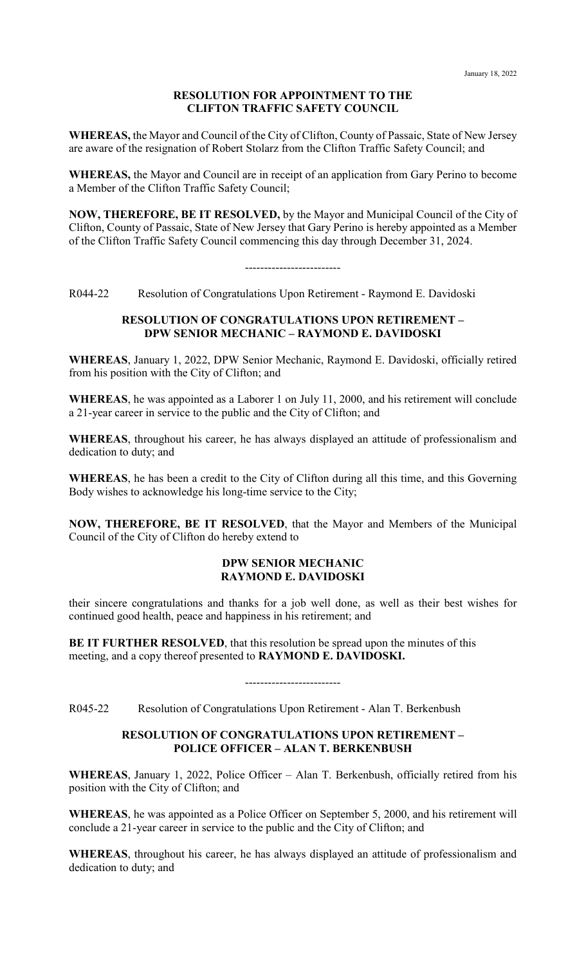## **RESOLUTION FOR APPOINTMENT TO THE CLIFTON TRAFFIC SAFETY COUNCIL**

**WHEREAS,** the Mayor and Council of the City of Clifton, County of Passaic, State of New Jersey are aware of the resignation of Robert Stolarz from the Clifton Traffic Safety Council; and

**WHEREAS,** the Mayor and Council are in receipt of an application from Gary Perino to become a Member of the Clifton Traffic Safety Council;

**NOW, THEREFORE, BE IT RESOLVED,** by the Mayor and Municipal Council of the City of Clifton, County of Passaic, State of New Jersey that Gary Perino is hereby appointed as a Member of the Clifton Traffic Safety Council commencing this day through December 31, 2024.

-------------------------

R044-22 Resolution of Congratulations Upon Retirement - Raymond E. Davidoski

#### **RESOLUTION OF CONGRATULATIONS UPON RETIREMENT – DPW SENIOR MECHANIC – RAYMOND E. DAVIDOSKI**

**WHEREAS**, January 1, 2022, DPW Senior Mechanic, Raymond E. Davidoski, officially retired from his position with the City of Clifton; and

**WHEREAS**, he was appointed as a Laborer 1 on July 11, 2000, and his retirement will conclude a 21-year career in service to the public and the City of Clifton; and

**WHEREAS**, throughout his career, he has always displayed an attitude of professionalism and dedication to duty; and

**WHEREAS**, he has been a credit to the City of Clifton during all this time, and this Governing Body wishes to acknowledge his long-time service to the City;

**NOW, THEREFORE, BE IT RESOLVED**, that the Mayor and Members of the Municipal Council of the City of Clifton do hereby extend to

## **DPW SENIOR MECHANIC RAYMOND E. DAVIDOSKI**

their sincere congratulations and thanks for a job well done, as well as their best wishes for continued good health, peace and happiness in his retirement; and

**BE IT FURTHER RESOLVED**, that this resolution be spread upon the minutes of this meeting, and a copy thereof presented to **RAYMOND E. DAVIDOSKI.**

-------------------------

R045-22 Resolution of Congratulations Upon Retirement - Alan T. Berkenbush

## **RESOLUTION OF CONGRATULATIONS UPON RETIREMENT – POLICE OFFICER – ALAN T. BERKENBUSH**

**WHEREAS**, January 1, 2022, Police Officer – Alan T. Berkenbush, officially retired from his position with the City of Clifton; and

**WHEREAS**, he was appointed as a Police Officer on September 5, 2000, and his retirement will conclude a 21-year career in service to the public and the City of Clifton; and

**WHEREAS**, throughout his career, he has always displayed an attitude of professionalism and dedication to duty; and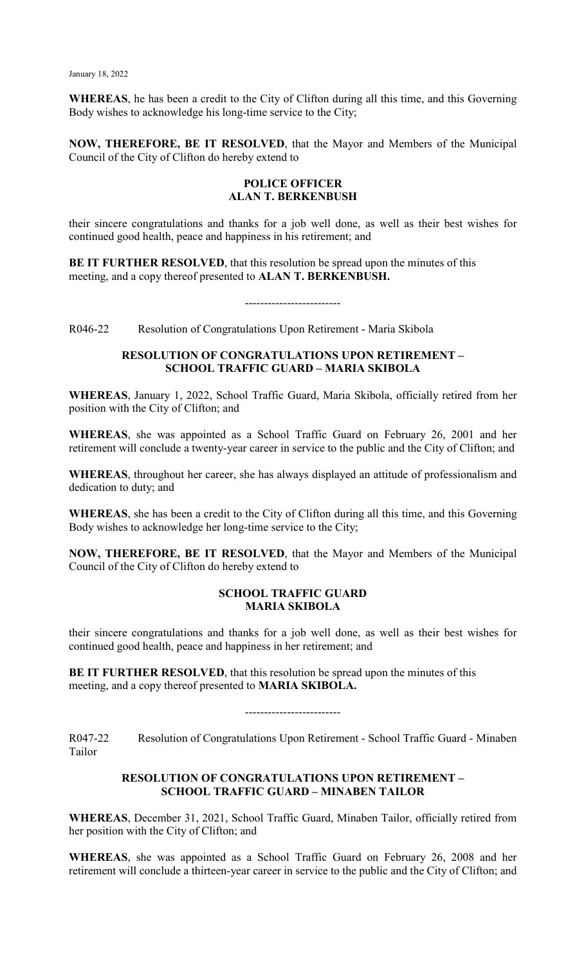**WHEREAS**, he has been a credit to the City of Clifton during all this time, and this Governing Body wishes to acknowledge his long-time service to the City;

**NOW, THEREFORE, BE IT RESOLVED**, that the Mayor and Members of the Municipal Council of the City of Clifton do hereby extend to

#### **POLICE OFFICER ALAN T. BERKENBUSH**

their sincere congratulations and thanks for a job well done, as well as their best wishes for continued good health, peace and happiness in his retirement; and

**BE IT FURTHER RESOLVED**, that this resolution be spread upon the minutes of this meeting, and a copy thereof presented to **ALAN T. BERKENBUSH.**

#### -------------------------

R046-22 Resolution of Congratulations Upon Retirement - Maria Skibola

## **RESOLUTION OF CONGRATULATIONS UPON RETIREMENT – SCHOOL TRAFFIC GUARD – MARIA SKIBOLA**

**WHEREAS**, January 1, 2022, School Traffic Guard, Maria Skibola, officially retired from her position with the City of Clifton; and

**WHEREAS**, she was appointed as a School Traffic Guard on February 26, 2001 and her retirement will conclude a twenty-year career in service to the public and the City of Clifton; and

**WHEREAS**, throughout her career, she has always displayed an attitude of professionalism and dedication to duty; and

**WHEREAS**, she has been a credit to the City of Clifton during all this time, and this Governing Body wishes to acknowledge her long-time service to the City;

**NOW, THEREFORE, BE IT RESOLVED**, that the Mayor and Members of the Municipal Council of the City of Clifton do hereby extend to

#### **SCHOOL TRAFFIC GUARD MARIA SKIBOLA**

their sincere congratulations and thanks for a job well done, as well as their best wishes for continued good health, peace and happiness in her retirement; and

**BE IT FURTHER RESOLVED**, that this resolution be spread upon the minutes of this meeting, and a copy thereof presented to **MARIA SKIBOLA.**

-------------------------

R047-22 Resolution of Congratulations Upon Retirement - School Traffic Guard - Minaben Tailor

#### **RESOLUTION OF CONGRATULATIONS UPON RETIREMENT – SCHOOL TRAFFIC GUARD – MINABEN TAILOR**

**WHEREAS**, December 31, 2021, School Traffic Guard, Minaben Tailor, officially retired from her position with the City of Clifton; and

**WHEREAS**, she was appointed as a School Traffic Guard on February 26, 2008 and her retirement will conclude a thirteen-year career in service to the public and the City of Clifton; and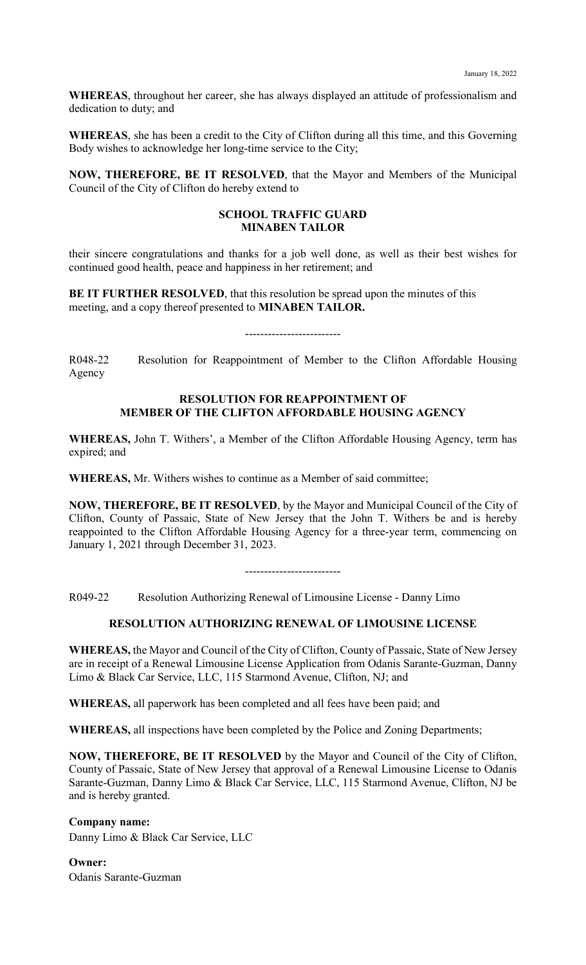**WHEREAS**, throughout her career, she has always displayed an attitude of professionalism and dedication to duty; and

**WHEREAS**, she has been a credit to the City of Clifton during all this time, and this Governing Body wishes to acknowledge her long-time service to the City;

**NOW, THEREFORE, BE IT RESOLVED**, that the Mayor and Members of the Municipal Council of the City of Clifton do hereby extend to

#### **SCHOOL TRAFFIC GUARD MINABEN TAILOR**

their sincere congratulations and thanks for a job well done, as well as their best wishes for continued good health, peace and happiness in her retirement; and

**BE IT FURTHER RESOLVED**, that this resolution be spread upon the minutes of this meeting, and a copy thereof presented to **MINABEN TAILOR.**

R048-22 Resolution for Reappointment of Member to the Clifton Affordable Housing Agency

#### **RESOLUTION FOR REAPPOINTMENT OF MEMBER OF THE CLIFTON AFFORDABLE HOUSING AGENCY**

**WHEREAS,** John T. Withers', a Member of the Clifton Affordable Housing Agency, term has expired; and

**WHEREAS,** Mr. Withers wishes to continue as a Member of said committee;

**NOW, THEREFORE, BE IT RESOLVED**, by the Mayor and Municipal Council of the City of Clifton, County of Passaic, State of New Jersey that the John T. Withers be and is hereby reappointed to the Clifton Affordable Housing Agency for a three-year term, commencing on January 1, 2021 through December 31, 2023.

-------------------------

R049-22 Resolution Authorizing Renewal of Limousine License - Danny Limo

#### **RESOLUTION AUTHORIZING RENEWAL OF LIMOUSINE LICENSE**

**WHEREAS,** the Mayor and Council of the City of Clifton, County of Passaic, State of New Jersey are in receipt of a Renewal Limousine License Application from Odanis Sarante-Guzman, Danny Limo & Black Car Service, LLC, 115 Starmond Avenue, Clifton, NJ; and

**WHEREAS,** all paperwork has been completed and all fees have been paid; and

**WHEREAS,** all inspections have been completed by the Police and Zoning Departments;

**NOW, THEREFORE, BE IT RESOLVED** by the Mayor and Council of the City of Clifton, County of Passaic, State of New Jersey that approval of a Renewal Limousine License to Odanis Sarante-Guzman, Danny Limo & Black Car Service, LLC, 115 Starmond Avenue, Clifton, NJ be and is hereby granted.

**Company name:** Danny Limo & Black Car Service, LLC

**Owner:** Odanis Sarante-Guzman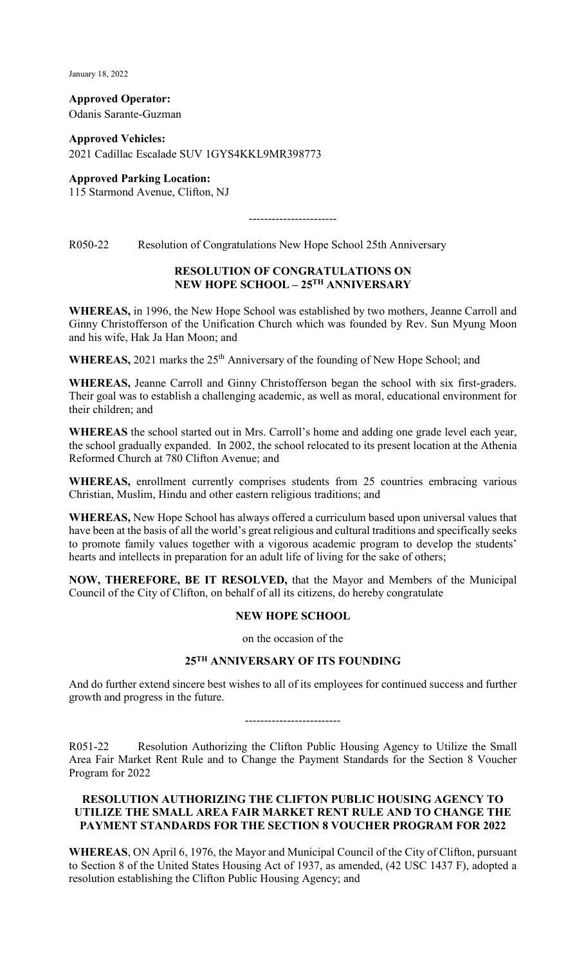January 18, 2022

**Approved Operator:** Odanis Sarante-Guzman

**Approved Vehicles:** 2021 Cadillac Escalade SUV 1GYS4KKL9MR398773

**Approved Parking Location:**  115 Starmond Avenue, Clifton, NJ

-----------------------

R050-22 Resolution of Congratulations New Hope School 25th Anniversary

## **RESOLUTION OF CONGRATULATIONS ON NEW HOPE SCHOOL – 25TH ANNIVERSARY**

**WHEREAS,** in 1996, the New Hope School was established by two mothers, Jeanne Carroll and Ginny Christofferson of the Unification Church which was founded by Rev. Sun Myung Moon and his wife, Hak Ja Han Moon; and

WHEREAS, 2021 marks the 25<sup>th</sup> Anniversary of the founding of New Hope School; and

**WHEREAS,** Jeanne Carroll and Ginny Christofferson began the school with six first-graders. Their goal was to establish a challenging academic, as well as moral, educational environment for their children; and

**WHEREAS** the school started out in Mrs. Carroll's home and adding one grade level each year, the school gradually expanded. In 2002, the school relocated to its present location at the Athenia Reformed Church at 780 Clifton Avenue; and

**WHEREAS,** enrollment currently comprises students from 25 countries embracing various Christian, Muslim, Hindu and other eastern religious traditions; and

**WHEREAS,** New Hope School has always offered a curriculum based upon universal values that have been at the basis of all the world's great religious and cultural traditions and specifically seeks to promote family values together with a vigorous academic program to develop the students' hearts and intellects in preparation for an adult life of living for the sake of others;

**NOW, THEREFORE, BE IT RESOLVED,** that the Mayor and Members of the Municipal Council of the City of Clifton, on behalf of all its citizens, do hereby congratulate

#### **NEW HOPE SCHOOL**

on the occasion of the

# **25TH ANNIVERSARY OF ITS FOUNDING**

And do further extend sincere best wishes to all of its employees for continued success and further growth and progress in the future.

-------------------------

R051-22 Resolution Authorizing the Clifton Public Housing Agency to Utilize the Small Area Fair Market Rent Rule and to Change the Payment Standards for the Section 8 Voucher Program for 2022

## **RESOLUTION AUTHORIZING THE CLIFTON PUBLIC HOUSING AGENCY TO UTILIZE THE SMALL AREA FAIR MARKET RENT RULE AND TO CHANGE THE PAYMENT STANDARDS FOR THE SECTION 8 VOUCHER PROGRAM FOR 2022**

**WHEREAS**, ON April 6, 1976, the Mayor and Municipal Council of the City of Clifton, pursuant to Section 8 of the United States Housing Act of 1937, as amended, (42 USC 1437 F), adopted a resolution establishing the Clifton Public Housing Agency; and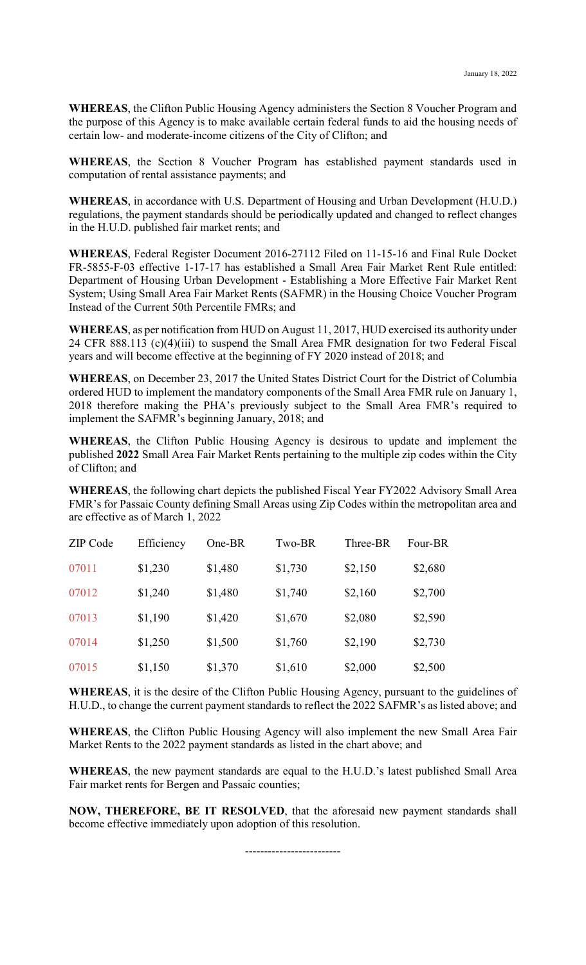**WHEREAS**, the Clifton Public Housing Agency administers the Section 8 Voucher Program and the purpose of this Agency is to make available certain federal funds to aid the housing needs of certain low- and moderate-income citizens of the City of Clifton; and

**WHEREAS**, the Section 8 Voucher Program has established payment standards used in computation of rental assistance payments; and

**WHEREAS**, in accordance with U.S. Department of Housing and Urban Development (H.U.D.) regulations, the payment standards should be periodically updated and changed to reflect changes in the H.U.D. published fair market rents; and

**WHEREAS**, Federal Register Document 2016-27112 Filed on 11-15-16 and Final Rule Docket FR-5855-F-03 effective 1-17-17 has established a Small Area Fair Market Rent Rule entitled: Department of Housing Urban Development - Establishing a More Effective Fair Market Rent System; Using Small Area Fair Market Rents (SAFMR) in the Housing Choice Voucher Program Instead of the Current 50th Percentile FMRs; and

**WHEREAS**, as per notification from HUD on August 11, 2017, HUD exercised its authority under 24 CFR 888.113 (c)(4)(iii) to suspend the Small Area FMR designation for two Federal Fiscal years and will become effective at the beginning of FY 2020 instead of 2018; and

**WHEREAS**, on December 23, 2017 the United States District Court for the District of Columbia ordered HUD to implement the mandatory components of the Small Area FMR rule on January 1, 2018 therefore making the PHA's previously subject to the Small Area FMR's required to implement the SAFMR's beginning January, 2018; and

**WHEREAS**, the Clifton Public Housing Agency is desirous to update and implement the published **2022** Small Area Fair Market Rents pertaining to the multiple zip codes within the City of Clifton; and

**WHEREAS**, the following chart depicts the published Fiscal Year FY2022 Advisory Small Area FMR's for Passaic County defining Small Areas using Zip Codes within the metropolitan area and are effective as of March 1, 2022

| <b>ZIP</b> Code | Efficiency | One-BR  | Two-BR  | Three-BR | Four-BR |
|-----------------|------------|---------|---------|----------|---------|
| 07011           | \$1,230    | \$1,480 | \$1,730 | \$2,150  | \$2,680 |
| 07012           | \$1,240    | \$1,480 | \$1,740 | \$2,160  | \$2,700 |
| 07013           | \$1,190    | \$1,420 | \$1,670 | \$2,080  | \$2,590 |
| 07014           | \$1,250    | \$1,500 | \$1,760 | \$2,190  | \$2,730 |
| 07015           | \$1,150    | \$1,370 | \$1,610 | \$2,000  | \$2,500 |

**WHEREAS**, it is the desire of the Clifton Public Housing Agency, pursuant to the guidelines of H.U.D., to change the current payment standards to reflect the 2022 SAFMR's as listed above; and

**WHEREAS**, the Clifton Public Housing Agency will also implement the new Small Area Fair Market Rents to the 2022 payment standards as listed in the chart above; and

**WHEREAS**, the new payment standards are equal to the H.U.D.'s latest published Small Area Fair market rents for Bergen and Passaic counties;

**NOW, THEREFORE, BE IT RESOLVED**, that the aforesaid new payment standards shall become effective immediately upon adoption of this resolution.

-------------------------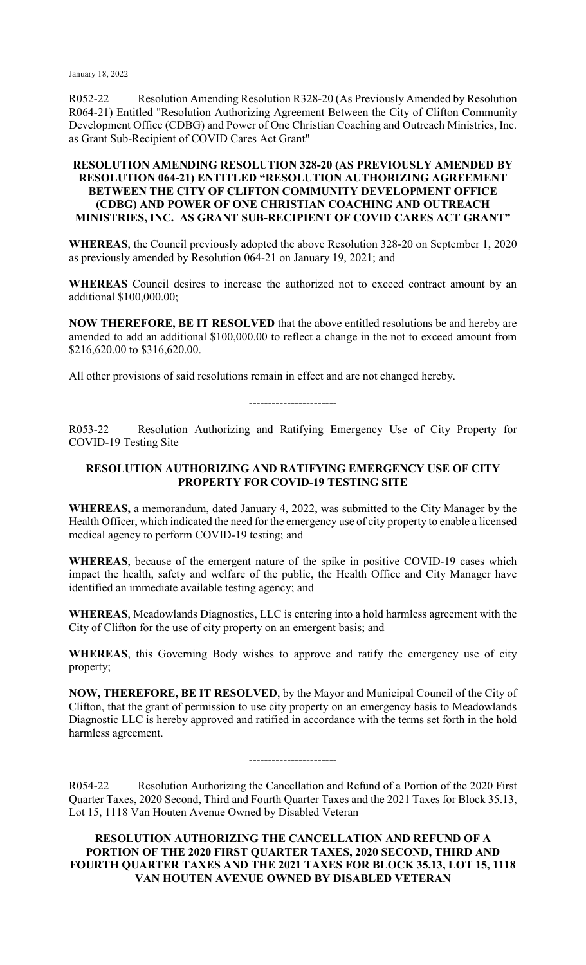January 18, 2022

R052-22 Resolution Amending Resolution R328-20 (As Previously Amended by Resolution R064-21) Entitled "Resolution Authorizing Agreement Between the City of Clifton Community Development Office (CDBG) and Power of One Christian Coaching and Outreach Ministries, Inc. as Grant Sub-Recipient of COVID Cares Act Grant"

## **RESOLUTION AMENDING RESOLUTION 328-20 (AS PREVIOUSLY AMENDED BY RESOLUTION 064-21) ENTITLED "RESOLUTION AUTHORIZING AGREEMENT BETWEEN THE CITY OF CLIFTON COMMUNITY DEVELOPMENT OFFICE (CDBG) AND POWER OF ONE CHRISTIAN COACHING AND OUTREACH MINISTRIES, INC. AS GRANT SUB-RECIPIENT OF COVID CARES ACT GRANT"**

**WHEREAS**, the Council previously adopted the above Resolution 328-20 on September 1, 2020 as previously amended by Resolution 064-21 on January 19, 2021; and

**WHEREAS** Council desires to increase the authorized not to exceed contract amount by an additional \$100,000.00;

**NOW THEREFORE, BE IT RESOLVED** that the above entitled resolutions be and hereby are amended to add an additional \$100,000.00 to reflect a change in the not to exceed amount from \$216,620.00 to \$316,620.00.

All other provisions of said resolutions remain in effect and are not changed hereby.

-----------------------

R053-22 Resolution Authorizing and Ratifying Emergency Use of City Property for COVID-19 Testing Site

## **RESOLUTION AUTHORIZING AND RATIFYING EMERGENCY USE OF CITY PROPERTY FOR COVID-19 TESTING SITE**

**WHEREAS,** a memorandum, dated January 4, 2022, was submitted to the City Manager by the Health Officer, which indicated the need for the emergency use of city property to enable a licensed medical agency to perform COVID-19 testing; and

**WHEREAS**, because of the emergent nature of the spike in positive COVID-19 cases which impact the health, safety and welfare of the public, the Health Office and City Manager have identified an immediate available testing agency; and

**WHEREAS**, Meadowlands Diagnostics, LLC is entering into a hold harmless agreement with the City of Clifton for the use of city property on an emergent basis; and

**WHEREAS**, this Governing Body wishes to approve and ratify the emergency use of city property;

**NOW, THEREFORE, BE IT RESOLVED**, by the Mayor and Municipal Council of the City of Clifton, that the grant of permission to use city property on an emergency basis to Meadowlands Diagnostic LLC is hereby approved and ratified in accordance with the terms set forth in the hold harmless agreement.

-----------------------

R054-22 Resolution Authorizing the Cancellation and Refund of a Portion of the 2020 First Quarter Taxes, 2020 Second, Third and Fourth Quarter Taxes and the 2021 Taxes for Block 35.13, Lot 15, 1118 Van Houten Avenue Owned by Disabled Veteran

**RESOLUTION AUTHORIZING THE CANCELLATION AND REFUND OF A PORTION OF THE 2020 FIRST QUARTER TAXES, 2020 SECOND, THIRD AND FOURTH QUARTER TAXES AND THE 2021 TAXES FOR BLOCK 35.13, LOT 15, 1118 VAN HOUTEN AVENUE OWNED BY DISABLED VETERAN**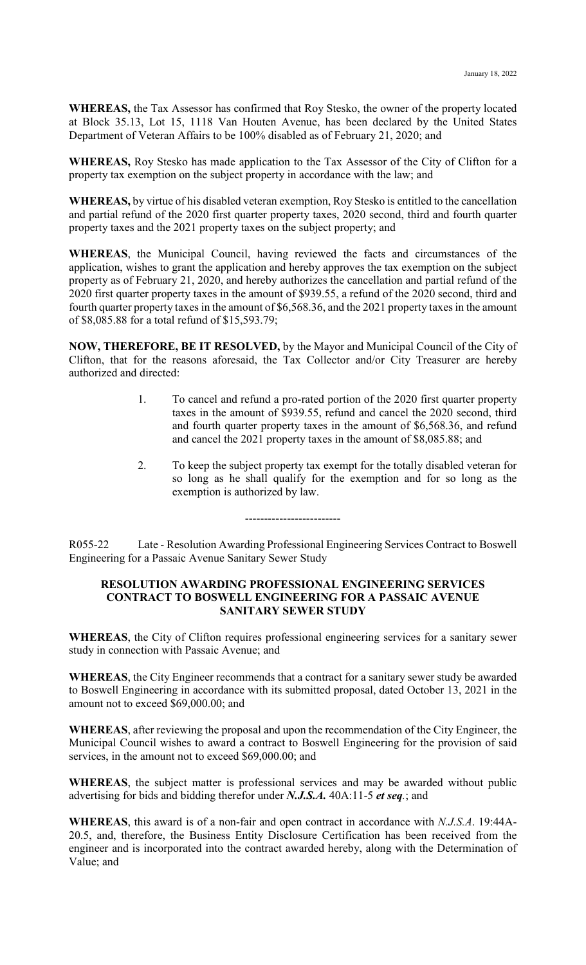**WHEREAS,** the Tax Assessor has confirmed that Roy Stesko, the owner of the property located at Block 35.13, Lot 15, 1118 Van Houten Avenue, has been declared by the United States Department of Veteran Affairs to be 100% disabled as of February 21, 2020; and

**WHEREAS,** Roy Stesko has made application to the Tax Assessor of the City of Clifton for a property tax exemption on the subject property in accordance with the law; and

**WHEREAS,** by virtue of his disabled veteran exemption, Roy Stesko is entitled to the cancellation and partial refund of the 2020 first quarter property taxes, 2020 second, third and fourth quarter property taxes and the 2021 property taxes on the subject property; and

**WHEREAS**, the Municipal Council, having reviewed the facts and circumstances of the application, wishes to grant the application and hereby approves the tax exemption on the subject property as of February 21, 2020, and hereby authorizes the cancellation and partial refund of the 2020 first quarter property taxes in the amount of \$939.55, a refund of the 2020 second, third and fourth quarter property taxes in the amount of \$6,568.36, and the 2021 property taxes in the amount of \$8,085.88 for a total refund of \$15,593.79;

**NOW, THEREFORE, BE IT RESOLVED,** by the Mayor and Municipal Council of the City of Clifton, that for the reasons aforesaid, the Tax Collector and/or City Treasurer are hereby authorized and directed:

- 1. To cancel and refund a pro-rated portion of the 2020 first quarter property taxes in the amount of \$939.55, refund and cancel the 2020 second, third and fourth quarter property taxes in the amount of \$6,568.36, and refund and cancel the 2021 property taxes in the amount of \$8,085.88; and
- 2. To keep the subject property tax exempt for the totally disabled veteran for so long as he shall qualify for the exemption and for so long as the exemption is authorized by law.

-------------------------

R055-22 Late - Resolution Awarding Professional Engineering Services Contract to Boswell Engineering for a Passaic Avenue Sanitary Sewer Study

#### **RESOLUTION AWARDING PROFESSIONAL ENGINEERING SERVICES CONTRACT TO BOSWELL ENGINEERING FOR A PASSAIC AVENUE SANITARY SEWER STUDY**

**WHEREAS**, the City of Clifton requires professional engineering services for a sanitary sewer study in connection with Passaic Avenue; and

**WHEREAS**, the City Engineer recommends that a contract for a sanitary sewer study be awarded to Boswell Engineering in accordance with its submitted proposal, dated October 13, 2021 in the amount not to exceed \$69,000.00; and

**WHEREAS**, after reviewing the proposal and upon the recommendation of the City Engineer, the Municipal Council wishes to award a contract to Boswell Engineering for the provision of said services, in the amount not to exceed \$69,000.00; and

**WHEREAS**, the subject matter is professional services and may be awarded without public advertising for bids and bidding therefor under *N.J.S.A.* 40A:11-5 *et seq.*; and

**WHEREAS**, this award is of a non-fair and open contract in accordance with *N.J.S.A*. 19:44A-20.5, and, therefore, the Business Entity Disclosure Certification has been received from the engineer and is incorporated into the contract awarded hereby, along with the Determination of Value; and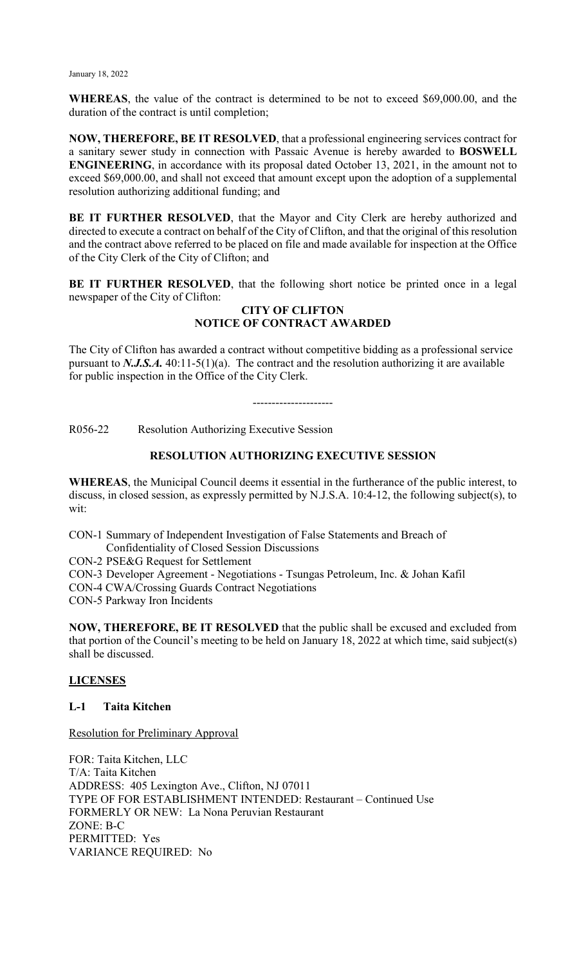**WHEREAS**, the value of the contract is determined to be not to exceed \$69,000.00, and the duration of the contract is until completion;

**NOW, THEREFORE, BE IT RESOLVED**, that a professional engineering services contract for a sanitary sewer study in connection with Passaic Avenue is hereby awarded to **BOSWELL ENGINEERING**, in accordance with its proposal dated October 13, 2021, in the amount not to exceed \$69,000.00, and shall not exceed that amount except upon the adoption of a supplemental resolution authorizing additional funding; and

**BE IT FURTHER RESOLVED**, that the Mayor and City Clerk are hereby authorized and directed to execute a contract on behalf of the City of Clifton, and that the original of this resolution and the contract above referred to be placed on file and made available for inspection at the Office of the City Clerk of the City of Clifton; and

**BE IT FURTHER RESOLVED**, that the following short notice be printed once in a legal newspaper of the City of Clifton:

## **CITY OF CLIFTON NOTICE OF CONTRACT AWARDED**

The City of Clifton has awarded a contract without competitive bidding as a professional service pursuant to  $N.J.S.A.$  40:11-5(1)(a). The contract and the resolution authorizing it are available for public inspection in the Office of the City Clerk.

---------------------

R056-22 Resolution Authorizing Executive Session

# **RESOLUTION AUTHORIZING EXECUTIVE SESSION**

**WHEREAS**, the Municipal Council deems it essential in the furtherance of the public interest, to discuss, in closed session, as expressly permitted by N.J.S.A. 10:4-12, the following subject(s), to wit:

CON-1 Summary of Independent Investigation of False Statements and Breach of Confidentiality of Closed Session Discussions

CON-2 PSE&G Request for Settlement

CON-3 Developer Agreement - Negotiations - Tsungas Petroleum, Inc. & Johan Kafil

CON-4 CWA/Crossing Guards Contract Negotiations

CON-5 Parkway Iron Incidents

**NOW, THEREFORE, BE IT RESOLVED** that the public shall be excused and excluded from that portion of the Council's meeting to be held on January 18, 2022 at which time, said subject(s) shall be discussed.

## **LICENSES**

## **L-1 Taita Kitchen**

Resolution for Preliminary Approval

FOR: Taita Kitchen, LLC T/A: Taita Kitchen ADDRESS: 405 Lexington Ave., Clifton, NJ 07011 TYPE OF FOR ESTABLISHMENT INTENDED: Restaurant – Continued Use FORMERLY OR NEW: La Nona Peruvian Restaurant ZONE: B-C PERMITTED: Yes VARIANCE REQUIRED: No